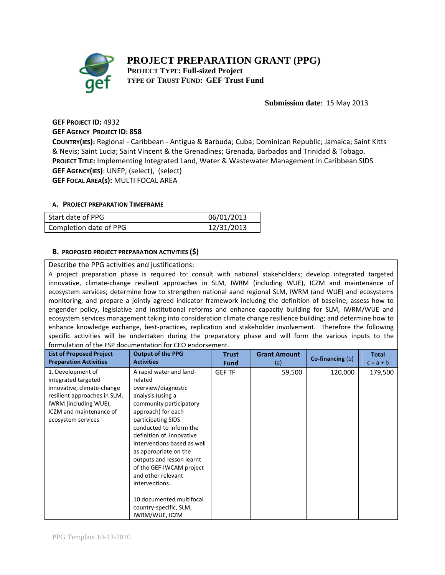# **PROJECT PREPARATION GRANT (PPG)**



**PROJECT TYPE: Full-sized Project TYPE OF TRUST FUND: GEF Trust Fund** 

### **Submission date**: 15 May 2013

## **GEF PROJECT ID:** 4932 **GEF AGENCY PROJECT ID: 858**

**COUNTRY(IES):** Regional ‐ Caribbean ‐ Antigua & Barbuda; Cuba; Dominican Republic; Jamaica; Saint Kitts & Nevis; Saint Lucia; Saint Vincent & the Grenadines; Grenada, Barbados and Trinidad & Tobago. **PROJECT TITLE:** Implementing Integrated Land, Water & Wastewater Management In Caribbean SIDS **GEF AGENCY(IES)**: UNEP, (select), (select) **GEF FOCAL AREA(s):** MULTI FOCAL AREA

#### **A. PROJECT PREPARATION TIMEFRAME**

| Start date of PPG      | 06/01/2013 |
|------------------------|------------|
| Completion date of PPG | 12/31/2013 |

### **B. PROPOSED PROJECT PREPARATION ACTIVITIES (\$)**

#### Describe the PPG activities and justifications:

A project preparation phase is required to: consult with national stakeholders; develop integrated targeted innovative, climate-change resilient approaches in SLM, IWRM (including WUE), ICZM and maintenance of ecosystem services; determine how to strengthen national aand regional SLM, IWRM (and WUE) and ecosystems monitoring, and prepare a jointly agreed indicator framework includng the definition of baseline; assess how to engender policy, legislative and institutional reforms and enhance capacity building for SLM, IWRM/WUE and ecosystem services management taking into consideration climate change resilience building; and determine how to enhance knowledge exchange, best-practices, replication and stakeholder involvement. Therefore the following specific activities will be undertaken during the preparatory phase and will form the various inputs to the formulation of the FSP documentation for CEO endorsement.

| <b>List of Proposed Project</b>                                                                                                                                                  | <b>Output of the PPG</b>                                                                                                                                                                                                                                                                                                                                                                                                                      | <b>Trust</b>  | <b>Grant Amount</b> | Co-financing (b) | <b>Total</b> |
|----------------------------------------------------------------------------------------------------------------------------------------------------------------------------------|-----------------------------------------------------------------------------------------------------------------------------------------------------------------------------------------------------------------------------------------------------------------------------------------------------------------------------------------------------------------------------------------------------------------------------------------------|---------------|---------------------|------------------|--------------|
| <b>Preparation Activities</b>                                                                                                                                                    | <b>Activities</b>                                                                                                                                                                                                                                                                                                                                                                                                                             | <b>Fund</b>   | (a)                 |                  | $c = a + b$  |
| 1. Development of<br>integrated targeted<br>innovative, climate-change<br>resilient approaches in SLM,<br>IWRM (including WUE),<br>ICZM and maintenance of<br>ecosystem services | A rapid water and land-<br>related<br>overview/diagnostic<br>analysis (using a<br>community participatory<br>approach) for each<br>participating SIDS<br>conducted to inform the<br>definition of innovative<br>interventions based as well<br>as appropriate on the<br>outputs and lesson learnt<br>of the GEF-IWCAM project<br>and other relevant<br>interventions.<br>10 documented multifocal<br>country-specific, SLM,<br>IWRM/WUE, ICZM | <b>GEF TF</b> | 59,500              | 120,000          | 179,500      |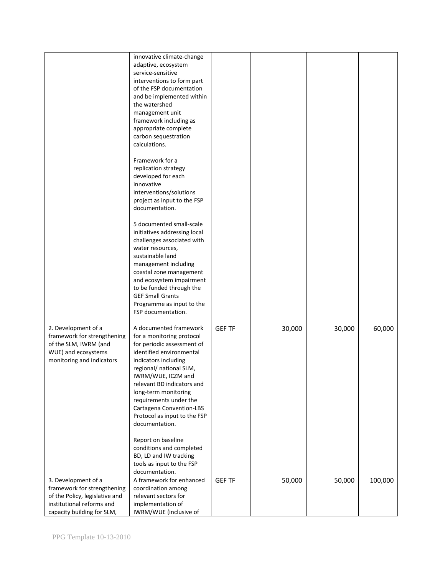|                                | innovative climate-change                   |               |        |        |         |
|--------------------------------|---------------------------------------------|---------------|--------|--------|---------|
|                                | adaptive, ecosystem                         |               |        |        |         |
|                                | service-sensitive                           |               |        |        |         |
|                                | interventions to form part                  |               |        |        |         |
|                                | of the FSP documentation                    |               |        |        |         |
|                                | and be implemented within                   |               |        |        |         |
|                                | the watershed                               |               |        |        |         |
|                                | management unit                             |               |        |        |         |
|                                | framework including as                      |               |        |        |         |
|                                | appropriate complete                        |               |        |        |         |
|                                | carbon sequestration                        |               |        |        |         |
|                                | calculations.                               |               |        |        |         |
|                                |                                             |               |        |        |         |
|                                | Framework for a                             |               |        |        |         |
|                                | replication strategy                        |               |        |        |         |
|                                | developed for each                          |               |        |        |         |
|                                | innovative                                  |               |        |        |         |
|                                | interventions/solutions                     |               |        |        |         |
|                                | project as input to the FSP                 |               |        |        |         |
|                                | documentation.                              |               |        |        |         |
|                                |                                             |               |        |        |         |
|                                | 5 documented small-scale                    |               |        |        |         |
|                                | initiatives addressing local                |               |        |        |         |
|                                | challenges associated with                  |               |        |        |         |
|                                | water resources,                            |               |        |        |         |
|                                | sustainable land                            |               |        |        |         |
|                                | management including                        |               |        |        |         |
|                                | coastal zone management                     |               |        |        |         |
|                                | and ecosystem impairment                    |               |        |        |         |
|                                | to be funded through the                    |               |        |        |         |
|                                | <b>GEF Small Grants</b>                     |               |        |        |         |
|                                | Programme as input to the                   |               |        |        |         |
|                                | FSP documentation.                          |               |        |        |         |
|                                |                                             |               |        |        |         |
| 2. Development of a            | A documented framework                      | <b>GEF TF</b> | 30,000 | 30,000 | 60,000  |
| framework for strengthening    | for a monitoring protocol                   |               |        |        |         |
| of the SLM, IWRM (and          | for periodic assessment of                  |               |        |        |         |
| WUE) and ecosystems            | identified environmental                    |               |        |        |         |
| monitoring and indicators      | indicators including                        |               |        |        |         |
|                                | regional/ national SLM,                     |               |        |        |         |
|                                | IWRM/WUE, ICZM and                          |               |        |        |         |
|                                | relevant BD indicators and                  |               |        |        |         |
|                                | long-term monitoring                        |               |        |        |         |
|                                | requirements under the                      |               |        |        |         |
|                                | Cartagena Convention-LBS                    |               |        |        |         |
|                                | Protocol as input to the FSP                |               |        |        |         |
|                                | documentation.                              |               |        |        |         |
|                                |                                             |               |        |        |         |
|                                | Report on baseline                          |               |        |        |         |
|                                | conditions and completed                    |               |        |        |         |
|                                | BD, LD and IW tracking                      |               |        |        |         |
|                                | tools as input to the FSP<br>documentation. |               |        |        |         |
| 3. Development of a            | A framework for enhanced                    | <b>GEF TF</b> | 50,000 | 50,000 | 100,000 |
| framework for strengthening    | coordination among                          |               |        |        |         |
| of the Policy, legislative and | relevant sectors for                        |               |        |        |         |
| institutional reforms and      | implementation of                           |               |        |        |         |
| capacity building for SLM,     | IWRM/WUE (inclusive of                      |               |        |        |         |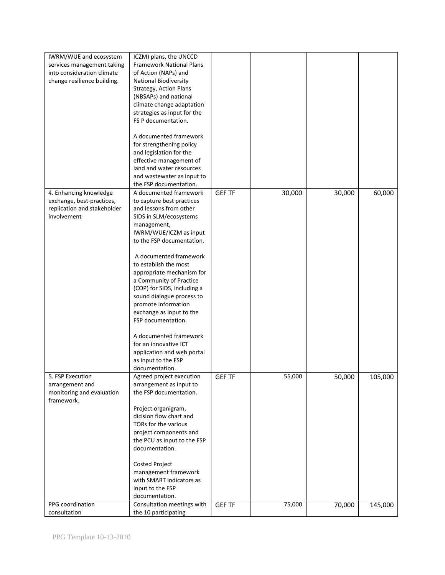| IWRM/WUE and ecosystem      | ICZM) plans, the UNCCD                            |               |        |        |         |
|-----------------------------|---------------------------------------------------|---------------|--------|--------|---------|
| services management taking  | <b>Framework National Plans</b>                   |               |        |        |         |
| into consideration climate  | of Action (NAPs) and                              |               |        |        |         |
| change resilience building. | <b>National Biodiversity</b>                      |               |        |        |         |
|                             | Strategy, Action Plans                            |               |        |        |         |
|                             | (NBSAPs) and national                             |               |        |        |         |
|                             | climate change adaptation                         |               |        |        |         |
|                             | strategies as input for the                       |               |        |        |         |
|                             | FS P documentation.                               |               |        |        |         |
|                             |                                                   |               |        |        |         |
|                             | A documented framework                            |               |        |        |         |
|                             | for strengthening policy                          |               |        |        |         |
|                             | and legislation for the                           |               |        |        |         |
|                             | effective management of                           |               |        |        |         |
|                             | land and water resources                          |               |        |        |         |
|                             | and wastewater as input to                        |               |        |        |         |
|                             | the FSP documentation.                            |               |        |        |         |
| 4. Enhancing knowledge      | A documented framework                            | <b>GEF TF</b> | 30,000 | 30,000 | 60,000  |
| exchange, best-practices,   | to capture best practices                         |               |        |        |         |
| replication and stakeholder | and lessons from other                            |               |        |        |         |
| involvement                 | SIDS in SLM/ecosystems                            |               |        |        |         |
|                             | management,                                       |               |        |        |         |
|                             | IWRM/WUE/ICZM as input                            |               |        |        |         |
|                             | to the FSP documentation.                         |               |        |        |         |
|                             |                                                   |               |        |        |         |
|                             | A documented framework                            |               |        |        |         |
|                             | to establish the most                             |               |        |        |         |
|                             | appropriate mechanism for                         |               |        |        |         |
|                             | a Community of Practice                           |               |        |        |         |
|                             | (COP) for SIDS, including a                       |               |        |        |         |
|                             | sound dialogue process to                         |               |        |        |         |
|                             | promote information                               |               |        |        |         |
|                             | exchange as input to the                          |               |        |        |         |
|                             | FSP documentation.                                |               |        |        |         |
|                             |                                                   |               |        |        |         |
|                             | A documented framework                            |               |        |        |         |
|                             | for an innovative ICT                             |               |        |        |         |
|                             | application and web portal                        |               |        |        |         |
|                             | as input to the FSP                               |               |        |        |         |
| 5. FSP Execution            | documentation.                                    |               |        |        |         |
| arrangement and             | Agreed project execution                          | <b>GEF TF</b> | 55,000 | 50,000 | 105,000 |
| monitoring and evaluation   | arrangement as input to<br>the FSP documentation. |               |        |        |         |
| framework.                  |                                                   |               |        |        |         |
|                             | Project organigram,                               |               |        |        |         |
|                             | dicision flow chart and                           |               |        |        |         |
|                             | TORs for the various                              |               |        |        |         |
|                             | project components and                            |               |        |        |         |
|                             | the PCU as input to the FSP                       |               |        |        |         |
|                             | documentation.                                    |               |        |        |         |
|                             |                                                   |               |        |        |         |
|                             | <b>Costed Project</b>                             |               |        |        |         |
|                             | management framework                              |               |        |        |         |
|                             | with SMART indicators as                          |               |        |        |         |
|                             | input to the FSP                                  |               |        |        |         |
|                             | documentation.                                    |               |        |        |         |
| PPG coordination            | Consultation meetings with                        | <b>GEF TF</b> | 75,000 | 70,000 | 145,000 |
| consultation                | the 10 participating                              |               |        |        |         |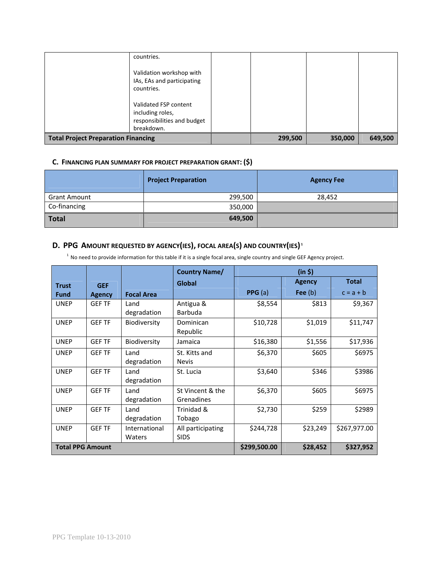|                                            | countries.<br>Validation workshop with<br>IAs, EAs and participating<br>countries.<br>Validated FSP content<br>including roles,<br>responsibilities and budget<br>breakdown. |         |         |         |
|--------------------------------------------|------------------------------------------------------------------------------------------------------------------------------------------------------------------------------|---------|---------|---------|
| <b>Total Project Preparation Financing</b> |                                                                                                                                                                              | 299,500 | 350,000 | 649,500 |

# **C. FINANCING PLAN SUMMARY FOR PROJECT PREPARATION GRANT: (\$)**

|                     | <b>Project Preparation</b> | <b>Agency Fee</b> |
|---------------------|----------------------------|-------------------|
| <b>Grant Amount</b> | 299,500                    | 28,452            |
| Co-financing        | 350,000                    |                   |
| <b>Total</b>        | 649,500                    |                   |

# **D. PPG AMOUNT REQUESTED BY AGENCY(IES), FOCAL AREA(S) AND COUNTRY(IES) <sup>1</sup>**

<sup>1</sup> No need to provide information for this table if it is a single focal area, single country and single GEF Agency project.

|                         |               |                   | <b>Country Name/</b> |           | (in 5)        |              |
|-------------------------|---------------|-------------------|----------------------|-----------|---------------|--------------|
| <b>Trust</b>            | <b>GEF</b>    |                   | Global               |           | <b>Agency</b> | Total        |
| <b>Fund</b>             | <b>Agency</b> | <b>Focal Area</b> |                      | PPG(a)    | Fee $(b)$     | $c = a + b$  |
| <b>UNEP</b>             | <b>GEF TF</b> | Land              | Antigua &            | \$8,554   | \$813         | \$9,367      |
|                         |               | degradation       | <b>Barbuda</b>       |           |               |              |
| <b>UNEP</b>             | <b>GEF TF</b> | Biodiversity      | Dominican            | \$10,728  | \$1,019       | \$11,747     |
|                         |               |                   | Republic             |           |               |              |
| <b>UNEP</b>             | <b>GEF TF</b> | Biodiversity      | Jamaica              | \$16,380  | \$1,556       | \$17,936     |
| <b>UNEP</b>             | <b>GEF TF</b> | Land              | St. Kitts and        | \$6,370   | \$605         | \$6975       |
|                         |               | degradation       | <b>Nevis</b>         |           |               |              |
| <b>UNEP</b>             | <b>GEF TF</b> | Land              | St. Lucia            | \$3,640   | \$346         | \$3986       |
|                         |               | degradation       |                      |           |               |              |
| <b>UNEP</b>             | <b>GEF TF</b> | Land              | St Vincent & the     | \$6,370   | \$605         | \$6975       |
|                         |               | degradation       | Grenadines           |           |               |              |
| <b>UNEP</b>             | <b>GEF TF</b> | Land              | Trinidad &           | \$2,730   | \$259         | \$2989       |
|                         |               | degradation       | Tobago               |           |               |              |
| <b>UNEP</b>             | <b>GEF TF</b> | International     | All participating    | \$244,728 | \$23,249      | \$267,977.00 |
|                         |               | Waters            | <b>SIDS</b>          |           |               |              |
| <b>Total PPG Amount</b> |               |                   | \$299,500.00         | \$28,452  | \$327,952     |              |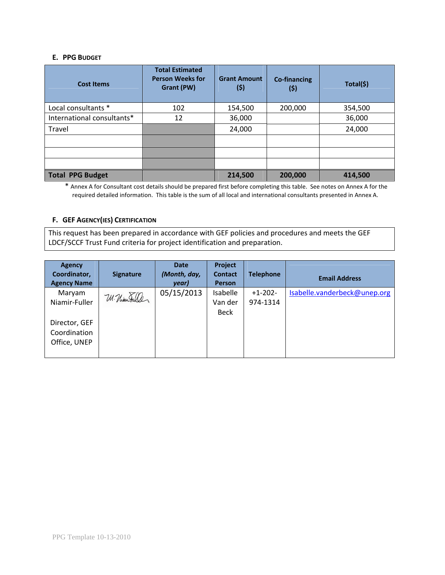#### **E. PPG BUDGET**

| <b>Cost Items</b>          | <b>Total Estimated</b><br><b>Person Weeks for</b><br>Grant (PW) | <b>Grant Amount</b><br>(\$) | <b>Co-financing</b><br>(\$) | Total(\$) |
|----------------------------|-----------------------------------------------------------------|-----------------------------|-----------------------------|-----------|
| Local consultants *        | 102                                                             | 154,500                     | 200,000                     | 354,500   |
| International consultants* | 12                                                              | 36,000                      |                             | 36,000    |
| Travel                     |                                                                 | 24,000                      |                             | 24,000    |
|                            |                                                                 |                             |                             |           |
|                            |                                                                 |                             |                             |           |
|                            |                                                                 |                             |                             |           |
| <b>Total PPG Budget</b>    |                                                                 | 214,500                     | 200,000                     | 414,500   |

\* Annex A for Consultant cost details should be prepared first before completing this table. See notes on Annex A for the required detailed information. This table is the sum of all local and international consultants presented in Annex A.

### **F. GEF AGENCY(IES) CERTIFICATION**

This request has been prepared in accordance with GEF policies and procedures and meets the GEF LDCF/SCCF Trust Fund criteria for project identification and preparation.

| <b>Agency</b><br>Coordinator,<br><b>Agency Name</b> | <b>Signature</b> | <b>Date</b><br>(Month, day,<br>year) | Project<br><b>Contact</b><br><b>Person</b> | <b>Telephone</b>      | <b>Email Address</b>         |
|-----------------------------------------------------|------------------|--------------------------------------|--------------------------------------------|-----------------------|------------------------------|
| Maryam<br>Niamir-Fuller                             | W. Niam Fuller   | 05/15/2013                           | Isabelle<br>Van der                        | $+1-202-$<br>974-1314 | Isabelle.vanderbeck@unep.org |
| Director, GEF<br>Coordination<br>Office, UNEP       |                  |                                      | Beck                                       |                       |                              |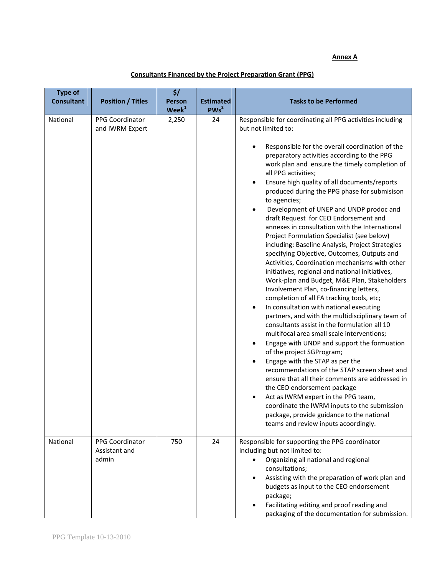### **Annex A**

packaging of the documentation for submission.

| <b>Type of</b><br><b>Consultant</b> | <b>Position / Titles</b>                  | \$/<br>Person<br>$\mathbf{W}\mathbf{e}\mathbf{e}\mathbf{k}^1$ | <b>Estimated</b><br>PWS <sup>2</sup> | <b>Tasks to be Performed</b>                                                                                                                                                                                                                                                                                                                                                                                                                                                                                                                                                                                                                                                                                                                                                                                                                                                                                                                                                                                                                                                                                                                                                                                                                                                                                                                                                                                                                                                                                                                                                           |
|-------------------------------------|-------------------------------------------|---------------------------------------------------------------|--------------------------------------|----------------------------------------------------------------------------------------------------------------------------------------------------------------------------------------------------------------------------------------------------------------------------------------------------------------------------------------------------------------------------------------------------------------------------------------------------------------------------------------------------------------------------------------------------------------------------------------------------------------------------------------------------------------------------------------------------------------------------------------------------------------------------------------------------------------------------------------------------------------------------------------------------------------------------------------------------------------------------------------------------------------------------------------------------------------------------------------------------------------------------------------------------------------------------------------------------------------------------------------------------------------------------------------------------------------------------------------------------------------------------------------------------------------------------------------------------------------------------------------------------------------------------------------------------------------------------------------|
| National                            | <b>PPG Coordinator</b><br>and IWRM Expert | 2,250                                                         | 24                                   | Responsible for coordinating all PPG activities including<br>but not limited to:<br>Responsible for the overall coordination of the<br>٠<br>preparatory activities according to the PPG<br>work plan and ensure the timely completion of<br>all PPG activities;<br>Ensure high quality of all documents/reports<br>$\bullet$<br>produced during the PPG phase for submisison<br>to agencies;<br>Development of UNEP and UNDP prodoc and<br>draft Request for CEO Endorsement and<br>annexes in consultation with the International<br>Project Formulation Specialist (see below)<br>including: Baseline Analysis, Project Strategies<br>specifying Objective, Outcomes, Outputs and<br>Activities, Coordination mechanisms with other<br>initiatives, regional and national initiatives,<br>Work-plan and Budget, M&E Plan, Stakeholders<br>Involvement Plan, co-financing letters,<br>completion of all FA tracking tools, etc;<br>In consultation with national executing<br>٠<br>partners, and with the multidisciplinary team of<br>consultants assist in the formulation all 10<br>multifocal area small scale interventions;<br>Engage with UNDP and support the formuation<br>٠<br>of the project SGProgram;<br>Engage with the STAP as per the<br>$\bullet$<br>recommendations of the STAP screen sheet and<br>ensure that all their comments are addressed in<br>the CEO endorsement package<br>Act as IWRM expert in the PPG team,<br>٠<br>coordinate the IWRM inputs to the submission<br>package, provide guidance to the national<br>teams and review inputs acoordingly. |
| National                            | PPG Coordinator<br>Assistant and<br>admin | 750                                                           | 24                                   | Responsible for supporting the PPG coordinator<br>including but not limited to:<br>Organizing all national and regional<br>$\bullet$<br>consultations;<br>Assisting with the preparation of work plan and<br>$\bullet$<br>budgets as input to the CEO endorsement<br>package;<br>Facilitating editing and proof reading and<br>٠<br>packaging of the documentation for submission                                                                                                                                                                                                                                                                                                                                                                                                                                                                                                                                                                                                                                                                                                                                                                                                                                                                                                                                                                                                                                                                                                                                                                                                      |

# **Consultants Financed by the Project Preparation Grant (PPG)**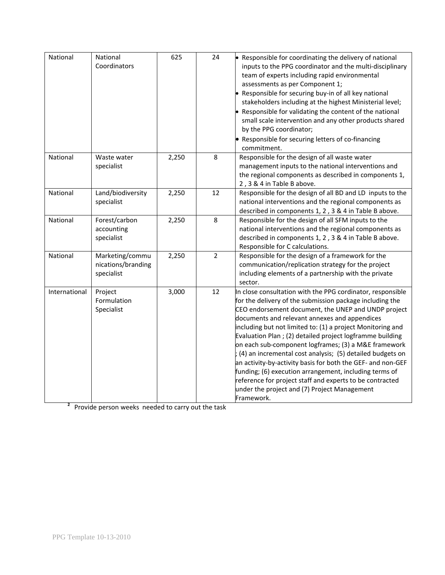| National      | National<br>Coordinators                            | 625   | 24             | • Responsible for coordinating the delivery of national<br>inputs to the PPG coordinator and the multi-disciplinary<br>team of experts including rapid environmental<br>assessments as per Component 1;<br>• Responsible for securing buy-in of all key national<br>stakeholders including at the highest Ministerial level;<br>• Responsible for validating the content of the national<br>small scale intervention and any other products shared<br>by the PPG coordinator;<br>• Responsible for securing letters of co-financing<br>commitment.                                                                                                                                                                                 |
|---------------|-----------------------------------------------------|-------|----------------|------------------------------------------------------------------------------------------------------------------------------------------------------------------------------------------------------------------------------------------------------------------------------------------------------------------------------------------------------------------------------------------------------------------------------------------------------------------------------------------------------------------------------------------------------------------------------------------------------------------------------------------------------------------------------------------------------------------------------------|
| National      | Waste water<br>specialist                           | 2,250 | 8              | Responsible for the design of all waste water<br>management inputs to the national interventions and<br>the regional components as described in components 1,<br>2, 3 & 4 in Table B above.                                                                                                                                                                                                                                                                                                                                                                                                                                                                                                                                        |
| National      | Land/biodiversity<br>specialist                     | 2,250 | 12             | Responsible for the design of all BD and LD inputs to the<br>national interventions and the regional components as<br>described in components 1, 2, 3 & 4 in Table B above.                                                                                                                                                                                                                                                                                                                                                                                                                                                                                                                                                        |
| National      | Forest/carbon<br>accounting<br>specialist           | 2,250 | 8              | Responsible for the design of all SFM inputs to the<br>national interventions and the regional components as<br>described in components 1, 2, 3 & 4 in Table B above.<br>Responsible for C calculations.                                                                                                                                                                                                                                                                                                                                                                                                                                                                                                                           |
| National      | Marketing/commu<br>nications/branding<br>specialist | 2,250 | $\overline{2}$ | Responsible for the design of a framework for the<br>communication/replication strategy for the project<br>including elements of a partnership with the private<br>sector.                                                                                                                                                                                                                                                                                                                                                                                                                                                                                                                                                         |
| International | Project<br>Formulation<br>Specialist                | 3,000 | 12             | In close consultation with the PPG cordinator, responsible<br>for the delivery of the submission package including the<br>CEO endorsement document, the UNEP and UNDP project<br>documents and relevant annexes and appendices<br>including but not limited to: (1) a project Monitoring and<br>Evaluation Plan; (2) detailed project logframme building<br>on each sub-component logframes; (3) a M&E framework<br>; (4) an incremental cost analysis; (5) detailed budgets on<br>an activity-by-activity basis for both the GEF- and non-GEF<br>funding; (6) execution arrangement, including terms of<br>reference for project staff and experts to be contracted<br>under the project and (7) Project Management<br>Framework. |

<sup>2</sup> Provide person weeks needed to carry out the task